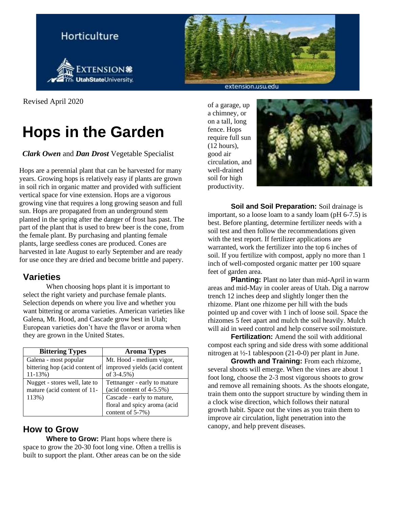

extension.usu.edu

Revised April 2020

# **Hops in the Garden**

*Clark Owen* and *Dan Drost* Vegetable Specialist

Hops are a perennial plant that can be harvested for many years. Growing hops is relatively easy if plants are grown in soil rich in organic matter and provided with sufficient vertical space for vine extension. Hops are a vigorous growing vine that requires a long growing season and full sun. Hops are propagated from an underground stem planted in the spring after the danger of frost has past. The part of the plant that is used to brew beer is the cone, from the female plant. By purchasing and planting female plants, large seedless cones are produced. Cones are harvested in late August to early September and are ready for use once they are dried and become brittle and papery.

## **Varieties**

When choosing hops plant it is important to select the right variety and purchase female plants. Selection depends on where you live and whether you want bittering or aroma varieties. American varieties like Galena, Mt. Hood, and Cascade grow best in Utah; European varieties don't have the flavor or aroma when they are grown in the United States.

| <b>Bittering Types</b>         | <b>Aroma Types</b>                  |
|--------------------------------|-------------------------------------|
| Galena - most popular          | Mt. Hood - medium vigor,            |
| bittering hop (acid content of | improved yields (acid content       |
| $11-13\%)$                     | of $3-4.5%$ )                       |
| Nugget - stores well, late to  | Tettnanger - early to mature        |
| mature (acid content of 11-    | $(\text{acid content of } 4-5.5\%)$ |
| 113%)                          | Cascade - early to mature,          |
|                                | floral and spicy aroma (acid        |
|                                | content of 5-7%)                    |

## **How to Grow**

**Where to Grow:** Plant hops where there is space to grow the 20-30 foot long vine. Often a trellis is built to support the plant. Other areas can be on the side

of a garage, up a chimney, or on a tall, long fence. Hops require full sun (12 hours), good air circulation, and well-drained soil for high productivity.



**Soil and Soil Preparation:** Soil drainage is important, so a loose loam to a sandy loam (pH 6-7.5) is best. Before planting, determine fertilizer needs with a soil test and then follow the recommendations given with the test report. If fertilizer applications are warranted, work the fertilizer into the top 6 inches of soil. If you fertilize with compost, apply no more than 1 inch of well-composted organic matter per 100 square feet of garden area.

**Planting:** Plant no later than mid-April in warm areas and mid-May in cooler areas of Utah. Dig a narrow trench 12 inches deep and slightly longer then the rhizome. Plant one rhizome per hill with the buds pointed up and cover with 1 inch of loose soil. Space the rhizomes 5 feet apart and mulch the soil heavily. Mulch will aid in weed control and help conserve soilmoisture.

**Fertilization:** Amend the soil with additional compost each spring and side dress with some additional nitrogen at ½-1 tablespoon (21-0-0) per plant in June.

**Growth and Training:** From each rhizome, several shoots will emerge. When the vines are about 1 foot long, choose the 2-3 most vigorous shoots to grow and remove all remaining shoots. As the shoots elongate, train them onto the support structure by winding them in a clock wise direction, which follows their natural growth habit. Space out the vines as you train them to improve air circulation, light penetration into the canopy, and help prevent diseases.